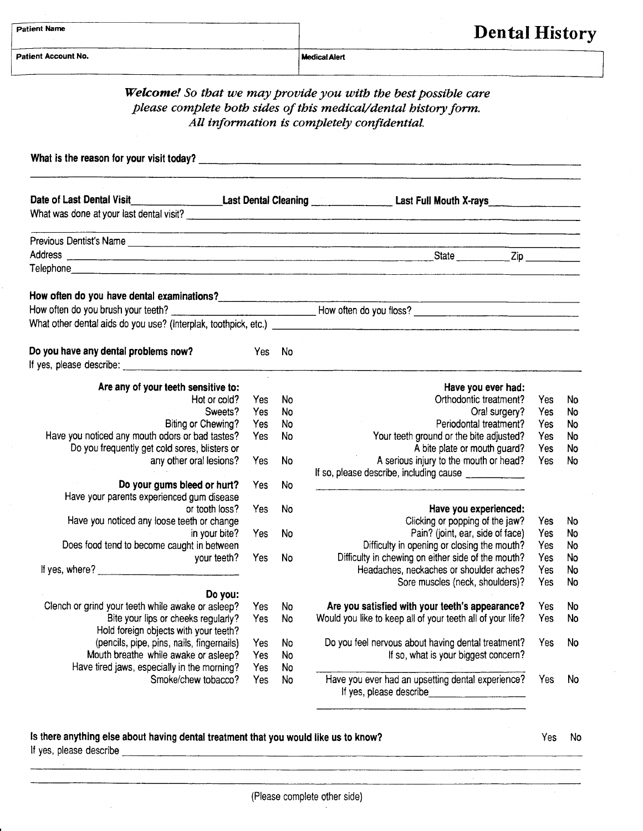| Patient Name |  |
|--------------|--|
|              |  |

**Medical Alert** 

## Dental History

| <b>Welcome!</b> So that we may provide you with the best possible care<br>please complete both sides of this medical/dental history form.<br>All information is completely confidential. |                                                             |                                                                                                |                                                                                                                                                                                                                                                                                                                                                                                                                                                                                                                     |                                                                                                                                                                                                                                             |  |  |  |
|------------------------------------------------------------------------------------------------------------------------------------------------------------------------------------------|-------------------------------------------------------------|------------------------------------------------------------------------------------------------|---------------------------------------------------------------------------------------------------------------------------------------------------------------------------------------------------------------------------------------------------------------------------------------------------------------------------------------------------------------------------------------------------------------------------------------------------------------------------------------------------------------------|---------------------------------------------------------------------------------------------------------------------------------------------------------------------------------------------------------------------------------------------|--|--|--|
|                                                                                                                                                                                          |                                                             |                                                                                                |                                                                                                                                                                                                                                                                                                                                                                                                                                                                                                                     |                                                                                                                                                                                                                                             |  |  |  |
|                                                                                                                                                                                          |                                                             |                                                                                                |                                                                                                                                                                                                                                                                                                                                                                                                                                                                                                                     |                                                                                                                                                                                                                                             |  |  |  |
|                                                                                                                                                                                          |                                                             |                                                                                                |                                                                                                                                                                                                                                                                                                                                                                                                                                                                                                                     |                                                                                                                                                                                                                                             |  |  |  |
|                                                                                                                                                                                          |                                                             |                                                                                                |                                                                                                                                                                                                                                                                                                                                                                                                                                                                                                                     |                                                                                                                                                                                                                                             |  |  |  |
|                                                                                                                                                                                          |                                                             |                                                                                                |                                                                                                                                                                                                                                                                                                                                                                                                                                                                                                                     |                                                                                                                                                                                                                                             |  |  |  |
|                                                                                                                                                                                          |                                                             |                                                                                                |                                                                                                                                                                                                                                                                                                                                                                                                                                                                                                                     |                                                                                                                                                                                                                                             |  |  |  |
|                                                                                                                                                                                          |                                                             |                                                                                                |                                                                                                                                                                                                                                                                                                                                                                                                                                                                                                                     |                                                                                                                                                                                                                                             |  |  |  |
|                                                                                                                                                                                          |                                                             |                                                                                                |                                                                                                                                                                                                                                                                                                                                                                                                                                                                                                                     |                                                                                                                                                                                                                                             |  |  |  |
|                                                                                                                                                                                          |                                                             |                                                                                                |                                                                                                                                                                                                                                                                                                                                                                                                                                                                                                                     |                                                                                                                                                                                                                                             |  |  |  |
|                                                                                                                                                                                          |                                                             | Have you ever had:                                                                             |                                                                                                                                                                                                                                                                                                                                                                                                                                                                                                                     |                                                                                                                                                                                                                                             |  |  |  |
| Yes                                                                                                                                                                                      | No                                                          | Orthodontic treatment?                                                                         | Yes                                                                                                                                                                                                                                                                                                                                                                                                                                                                                                                 | No                                                                                                                                                                                                                                          |  |  |  |
|                                                                                                                                                                                          |                                                             |                                                                                                |                                                                                                                                                                                                                                                                                                                                                                                                                                                                                                                     | <b>No</b>                                                                                                                                                                                                                                   |  |  |  |
|                                                                                                                                                                                          |                                                             |                                                                                                |                                                                                                                                                                                                                                                                                                                                                                                                                                                                                                                     | No<br>No                                                                                                                                                                                                                                    |  |  |  |
|                                                                                                                                                                                          |                                                             |                                                                                                |                                                                                                                                                                                                                                                                                                                                                                                                                                                                                                                     | No                                                                                                                                                                                                                                          |  |  |  |
| Yes                                                                                                                                                                                      | No                                                          | A serious injury to the mouth or head?                                                         | Yes                                                                                                                                                                                                                                                                                                                                                                                                                                                                                                                 | No                                                                                                                                                                                                                                          |  |  |  |
|                                                                                                                                                                                          |                                                             | If so, please describe, including cause ______________                                         |                                                                                                                                                                                                                                                                                                                                                                                                                                                                                                                     |                                                                                                                                                                                                                                             |  |  |  |
| Yes                                                                                                                                                                                      | No.                                                         |                                                                                                |                                                                                                                                                                                                                                                                                                                                                                                                                                                                                                                     |                                                                                                                                                                                                                                             |  |  |  |
|                                                                                                                                                                                          |                                                             |                                                                                                |                                                                                                                                                                                                                                                                                                                                                                                                                                                                                                                     |                                                                                                                                                                                                                                             |  |  |  |
|                                                                                                                                                                                          |                                                             |                                                                                                |                                                                                                                                                                                                                                                                                                                                                                                                                                                                                                                     | No                                                                                                                                                                                                                                          |  |  |  |
|                                                                                                                                                                                          |                                                             |                                                                                                |                                                                                                                                                                                                                                                                                                                                                                                                                                                                                                                     | No                                                                                                                                                                                                                                          |  |  |  |
|                                                                                                                                                                                          |                                                             |                                                                                                |                                                                                                                                                                                                                                                                                                                                                                                                                                                                                                                     | <b>No</b>                                                                                                                                                                                                                                   |  |  |  |
| Yes                                                                                                                                                                                      | No                                                          | Difficulty in chewing on either side of the mouth?                                             | Yes                                                                                                                                                                                                                                                                                                                                                                                                                                                                                                                 | No                                                                                                                                                                                                                                          |  |  |  |
|                                                                                                                                                                                          |                                                             | Headaches, neckaches or shoulder aches?                                                        | Yes                                                                                                                                                                                                                                                                                                                                                                                                                                                                                                                 | No                                                                                                                                                                                                                                          |  |  |  |
|                                                                                                                                                                                          |                                                             |                                                                                                |                                                                                                                                                                                                                                                                                                                                                                                                                                                                                                                     | No                                                                                                                                                                                                                                          |  |  |  |
|                                                                                                                                                                                          |                                                             |                                                                                                |                                                                                                                                                                                                                                                                                                                                                                                                                                                                                                                     |                                                                                                                                                                                                                                             |  |  |  |
|                                                                                                                                                                                          |                                                             |                                                                                                |                                                                                                                                                                                                                                                                                                                                                                                                                                                                                                                     | No<br>No                                                                                                                                                                                                                                    |  |  |  |
|                                                                                                                                                                                          |                                                             |                                                                                                |                                                                                                                                                                                                                                                                                                                                                                                                                                                                                                                     |                                                                                                                                                                                                                                             |  |  |  |
|                                                                                                                                                                                          |                                                             |                                                                                                |                                                                                                                                                                                                                                                                                                                                                                                                                                                                                                                     | No                                                                                                                                                                                                                                          |  |  |  |
|                                                                                                                                                                                          |                                                             |                                                                                                |                                                                                                                                                                                                                                                                                                                                                                                                                                                                                                                     |                                                                                                                                                                                                                                             |  |  |  |
| Yes                                                                                                                                                                                      | No                                                          |                                                                                                |                                                                                                                                                                                                                                                                                                                                                                                                                                                                                                                     |                                                                                                                                                                                                                                             |  |  |  |
| Yes                                                                                                                                                                                      | No                                                          | Have you ever had an upsetting dental experience?<br>If yes, please describe__________________ | Yes                                                                                                                                                                                                                                                                                                                                                                                                                                                                                                                 | No                                                                                                                                                                                                                                          |  |  |  |
|                                                                                                                                                                                          | Yes<br>Yes<br>Yes<br>Yes<br>Yes<br>Yes<br>Yes<br>Yes<br>Yes | Yes No<br>No<br>No<br><b>No</b><br><b>No</b><br>No<br>No<br>No<br>No<br>No                     | Oral surgery?<br>Periodontal treatment?<br>Your teeth ground or the bite adjusted?<br>A bite plate or mouth guard?<br>Have you experienced:<br>Clicking or popping of the jaw?<br>Pain? (joint, ear, side of face)<br>Difficulty in opening or closing the mouth?<br>Sore muscles (neck, shoulders)?<br>Are you satisfied with your teeth's appearance?<br>Would you like to keep all of your teeth all of your life?<br>Do you feel nervous about having dental treatment?<br>If so, what is your biggest concern? | Date of Last Dental Visit________________________Last Dental Cleaning ______________________Last Full Mouth X-rays<br>What was done at your last dental visit?<br>Yes<br>Yes<br>Yes<br>Yes<br>Yes<br>Yes<br>Yes<br>Yes<br>Yes<br>Yes<br>Yes |  |  |  |

## ls there anything else about having dental treatment that you would like us to know? lf yes, please describe

Yes No